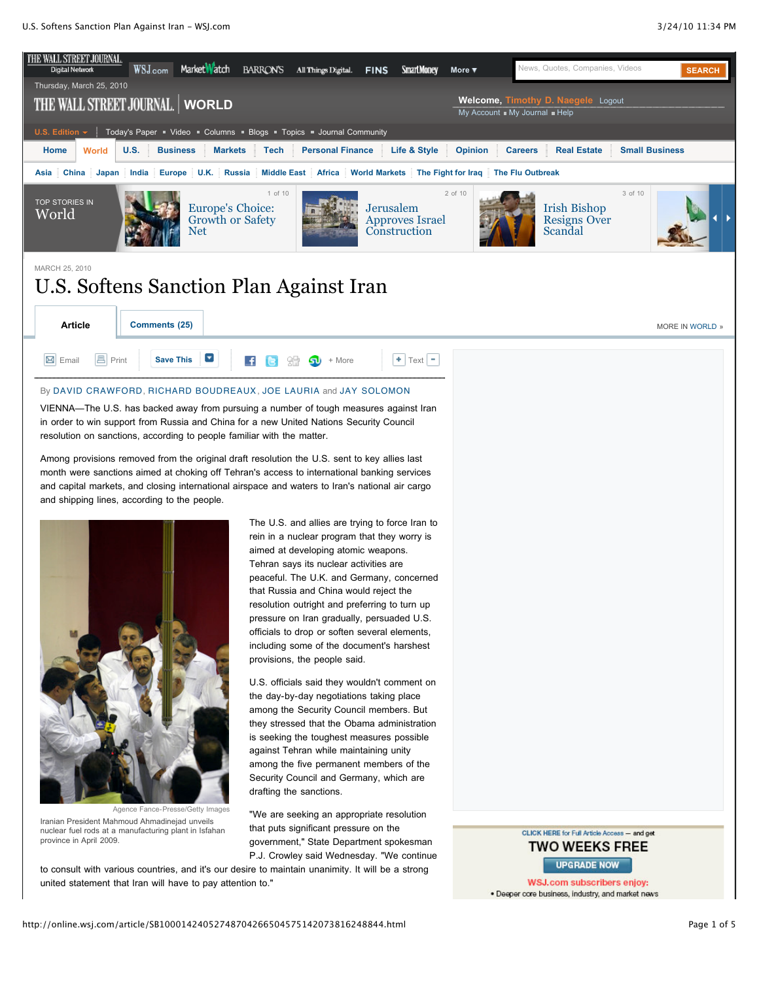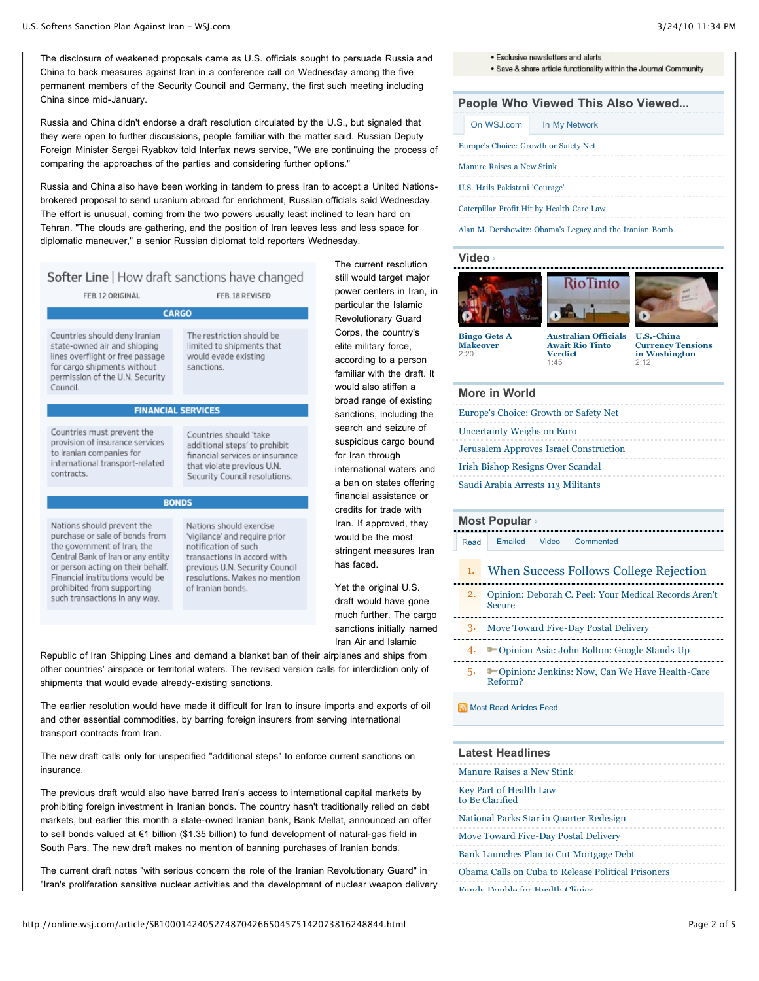The disclosure of weakened proposals came as U.S. officials sought to persuade Russia and China to back measures against Iran in a conference call on Wednesday among the five permanent members of the Security Council and Germany, the first such meeting including China since mid-January.

Russia and China didn't endorse a draft resolution circulated by the U.S., but signaled that they were open to further discussions, people familiar with the matter said. Russian Deputy Foreign Minister Sergei Ryabkov told Interfax news service, "We are continuing the process of comparing the approaches of the parties and considering further options."

Russia and China also have been working in tandem to press Iran to accept a United Nationsbrokered proposal to send uranium abroad for enrichment, Russian officials said Wednesday. The effort is unusual, coming from the two powers usually least inclined to lean hard on Tehran. "The clouds are gathering, and the position of Iran leaves less and less space for diplomatic maneuver," a senior Russian diplomat told reporters Wednesday.

FEB. 18 REVISED

# Softer Line | How draft sanctions have changed

FFR. 12 ORIGINAL

#### **CARGO**

Countries should deny Iranian state-owned air and shinning lines overflight or free passage for cargo shipments without permission of the U.N. Security Council.

The restriction should be limited to shinments that would evade existing sanctions.

# **FINANCIAL SERVICES**

#### Countries must prevent the provision of insurance services to Iranian companies for international transport-related contracts.

that violate previous U.N. Security Council resolutions. **BONDS** 

Countries should 'take

additional steps' to prohibit

financial services or insurance

Nations should prevent the purchase or sale of bonds from the government of Iran, the Central Bank of Iran or any entity or person acting on their behalf. Financial institutions would be prohibited from supporting such transactions in any way.

Nations should exercise 'vigilance' and reguire prior notification of such transactions in accord with previous U.N. Security Council resolutions. Makes no mention of Iranian bonds.

The current resolution still would target major power centers in Iran, in particular the Islamic Revolutionary Guard Corps, the country's elite military force, according to a person familiar with the draft. It would also stiffen a broad range of existing sanctions, including the search and seizure of suspicious cargo bound for Iran through international waters and a ban on states offering financial assistance or credits for trade with Iran. If approved, they would be the most stringent measures Iran has faced.

Yet the original U.S. draft would have gone much further. The cargo sanctions initially named Iran Air and Islamic

Republic of Iran Shipping Lines and demand a blanket ban of their airplanes and ships from other countries' airspace or territorial waters. The revised version calls for interdiction only of shipments that would evade already-existing sanctions.

The earlier resolution would have made it difficult for Iran to insure imports and exports of oil and other essential commodities, by barring foreign insurers from serving international transport contracts from Iran.

The new draft calls only for unspecified "additional steps" to enforce current sanctions on insurance.

The previous draft would also have barred Iran's access to international capital markets by prohibiting foreign investment in Iranian bonds. The country hasn't traditionally relied on debt markets, but earlier this month a state-owned Iranian bank, Bank Mellat, announced an offer to sell bonds valued at €1 billion (\$1.35 billion) to fund development of natural-gas field in South Pars. The new draft makes no mention of banning purchases of Iranian bonds.

The current draft notes "with serious concern the role of the Iranian Revolutionary Guard" in "Iran's proliferation sensitive nuclear activities and the development of nuclear weapon delivery · Exclusive newsletters and alerts

. Save & share article functionality within the Journal Community

# **People Who Viewed This Also Viewed...**

|                                       | On WSJ.com                                | In My Network |  |  |  |  |  |  |
|---------------------------------------|-------------------------------------------|---------------|--|--|--|--|--|--|
| Europe's Choice: Growth or Safety Net |                                           |               |  |  |  |  |  |  |
|                                       | Manure Raises a New Stink                 |               |  |  |  |  |  |  |
|                                       | U.S. Hails Pakistani 'Courage'            |               |  |  |  |  |  |  |
|                                       | Caterpillar Profit Hit by Health Care Law |               |  |  |  |  |  |  |

[Alan M. Dershowitz: Obama's Legacy and the Iranian Bomb](http://online.wsj.com/article/SB10001424052748704869304575110042827617582.html?mod=loomia&loomia_si=t0:a16:g2:r5:c0.0167627:b32198698)

#### **[Video](http://online.wsj.com/video-centerworld-news.html)**







**[Bingo Gets A](http://online.wsj.com/video/bingo-gets-a-makeover/E4DBA38B-D6E8-4308-A905-9F1FA10D480C.html) Makeover**  $2.20$ 

**[Australian Officials](http://online.wsj.com/video/australian-officials-await-rio-tinto-verdict/9B647445-58F3-459C-A369-D6A6D6749168.html) Await Rio Tinto Verdict** 1:45

**U.S.-China [Currency Tensions](http://online.wsj.com/video/us-china-currency-tensions-in-washington/B84A6208-7135-46C9-B8AA-D125A8A1FFD2.html) in Washington** 2:12

## **More in World**

| Europe's Choice: Growth or Safety Net         |
|-----------------------------------------------|
| Uncertainty Weighs on Euro                    |
| <b>Jerusalem Approves Israel Construction</b> |
| <b>Irish Bishop Resigns Over Scandal</b>      |
| Saudi Arabia Arrests 113 Militants            |

#### **[Most Popular](http://online.wsj.com/public/page/most_popular.html)**

[Read](http://online.wsj.com/article/SB10001424052748704266504575142073816248844.html#mostPopular_mostRead) [Emailed](http://online.wsj.com/article/SB10001424052748704266504575142073816248844.html#mostPopular_mostEmailed) [Video](http://online.wsj.com/article/SB10001424052748704266504575142073816248844.html#mostPopular_mostPopularVideo) [Commented](http://online.wsj.com/article/SB10001424052748704266504575142073816248844.html#mostPopular_mostCommented)

- 1. [When Success Follows College Rejection](http://online.wsj.com/article/SB10001424052748704211704575139891390595962.html?mod=WSJ_hp_mostpop_read)
- 2. [Opinion: Deborah C. Peel: Your Medical Records Aren't](http://online.wsj.com/article/SB10001424052748703580904575132111888664060.html?mod=WSJ_hp_mostpop_read) Secure
- 3. [Move Toward Five-Day Postal Delivery](http://online.wsj.com/article/SB10001424052748703312504575141932505872768.html?mod=WSJ_hp_mostpop_read)
- 4. **•** [Opinion Asia: John Bolton: Google Stands Up](http://online.wsj.com/article/SB10001424052748704896104575140501299870536.html?mod=WSJ_hp_mostpop_read)
- 5. [Opinion: Jenkins: Now, Can We Have Health-Care](http://online.wsj.com/article/SB10001424052748703621104575139732486806838.html?mod=WSJ_hp_mostpop_read) Reform?

### [Most Read Articles Feed](http://online.wsj.com/rss?mod=fpp_rss)

|  |  | <b>Latest Headlines</b> |  |
|--|--|-------------------------|--|
|--|--|-------------------------|--|

| Manure Raises a New Stink                        |
|--------------------------------------------------|
| <b>Key Part of Health Law</b><br>to Be Clarified |
| National Parks Star in Quarter Redesign          |
| Move Toward Five-Day Postal Delivery             |
| _ _ _ _ _ _ _ _ _ _ _ _ _ _ _ _ _ _ _ _          |

- [Bank Launches Plan to Cut Mortgage Debt](http://online.wsj.com/article/SB10001424052748703312504575141763259183050.html?mod=WSJ_article_LatestHeadlines)
- [Obama Calls on Cuba to Release Political Prisoners](http://online.wsj.com/article/SB10001424052748704266504575142431680741268.html?mod=WSJ_article_LatestHeadlines)

[Funds Double for Health Clinics](http://online.wsj.com/article/SB10001424052748704266504575142032757314138.html?mod=WSJ_article_LatestHeadlines)

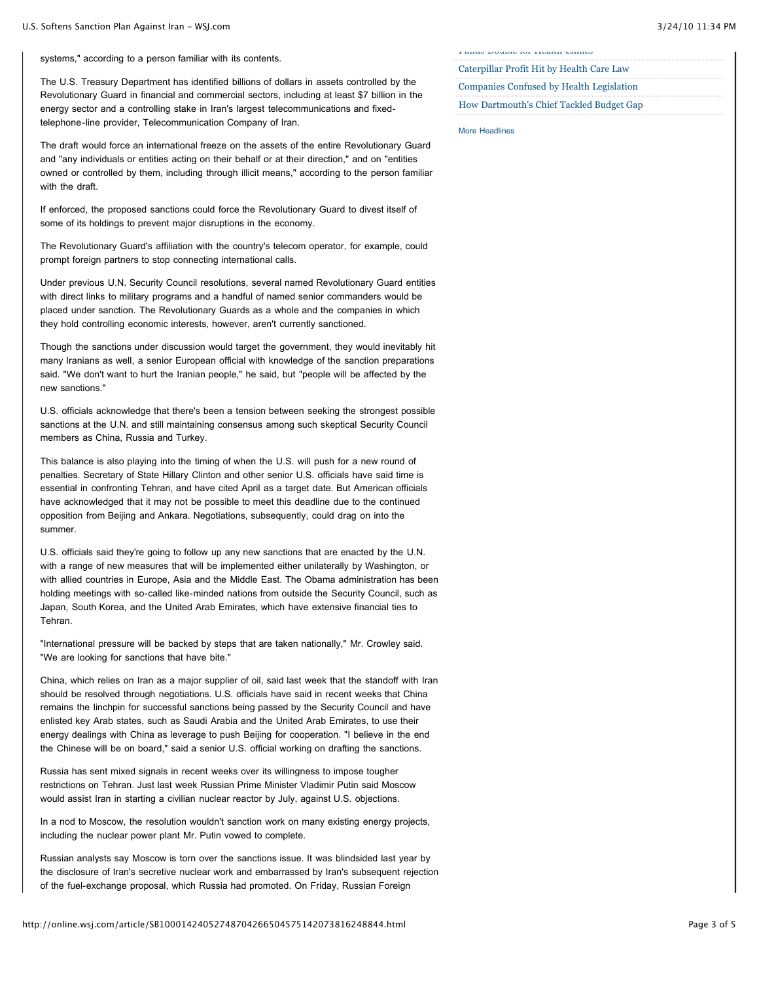systems," according to a person familiar with its contents.

The U.S. Treasury Department has identified billions of dollars in assets controlled by the Revolutionary Guard in financial and commercial sectors, including at least \$7 billion in the energy sector and a controlling stake in Iran's largest telecommunications and fixedtelephone-line provider, Telecommunication Company of Iran.

The draft would force an international freeze on the assets of the entire Revolutionary Guard and "any individuals or entities acting on their behalf or at their direction," and on "entities owned or controlled by them, including through illicit means," according to the person familiar with the draft.

If enforced, the proposed sanctions could force the Revolutionary Guard to divest itself of some of its holdings to prevent major disruptions in the economy.

The Revolutionary Guard's affiliation with the country's telecom operator, for example, could prompt foreign partners to stop connecting international calls.

Under previous U.N. Security Council resolutions, several named Revolutionary Guard entities with direct links to military programs and a handful of named senior commanders would be placed under sanction. The Revolutionary Guards as a whole and the companies in which they hold controlling economic interests, however, aren't currently sanctioned.

Though the sanctions under discussion would target the government, they would inevitably hit many Iranians as well, a senior European official with knowledge of the sanction preparations said. "We don't want to hurt the Iranian people," he said, but "people will be affected by the new sanctions."

U.S. officials acknowledge that there's been a tension between seeking the strongest possible sanctions at the U.N. and still maintaining consensus among such skeptical Security Council members as China, Russia and Turkey.

This balance is also playing into the timing of when the U.S. will push for a new round of penalties. Secretary of State Hillary Clinton and other senior U.S. officials have said time is essential in confronting Tehran, and have cited April as a target date. But American officials have acknowledged that it may not be possible to meet this deadline due to the continued opposition from Beijing and Ankara. Negotiations, subsequently, could drag on into the summer.

U.S. officials said they're going to follow up any new sanctions that are enacted by the U.N. with a range of new measures that will be implemented either unilaterally by Washington, or with allied countries in Europe, Asia and the Middle East. The Obama administration has been holding meetings with so-called like-minded nations from outside the Security Council, such as Japan, South Korea, and the United Arab Emirates, which have extensive financial ties to Tehran.

"International pressure will be backed by steps that are taken nationally," Mr. Crowley said. "We are looking for sanctions that have bite."

China, which relies on Iran as a major supplier of oil, said last week that the standoff with Iran should be resolved through negotiations. U.S. officials have said in recent weeks that China remains the linchpin for successful sanctions being passed by the Security Council and have enlisted key Arab states, such as Saudi Arabia and the United Arab Emirates, to use their energy dealings with China as leverage to push Beijing for cooperation. "I believe in the end the Chinese will be on board," said a senior U.S. official working on drafting the sanctions.

Russia has sent mixed signals in recent weeks over its willingness to impose tougher restrictions on Tehran. Just last week Russian Prime Minister Vladimir Putin said Moscow would assist Iran in starting a civilian nuclear reactor by July, against U.S. objections.

In a nod to Moscow, the resolution wouldn't sanction work on many existing energy projects, including the nuclear power plant Mr. Putin vowed to complete.

Russian analysts say Moscow is torn over the sanctions issue. It was blindsided last year by the disclosure of Iran's secretive nuclear work and embarrassed by Iran's subsequent rejection of the fuel-exchange proposal, which Russia had promoted. On Friday, Russian Foreign

[Funds Double for Health Clinics](http://online.wsj.com/article/SB10001424052748704266504575142032757314138.html?mod=WSJ_article_LatestHeadlines)

[Caterpillar Profit Hit by Health Care Law](http://online.wsj.com/article/SB10001424052748703312504575142313494421460.html?mod=WSJ_article_LatestHeadlines) [Companies Confused by Health Legislation](http://online.wsj.com/article/SB10001424052748703312504575142021536942614.html?mod=WSJ_article_LatestHeadlines)

[How Dartmouth's Chief Tackled Budget Gap](http://online.wsj.com/article/SB10001424052748704211704575139721935298474.html?mod=WSJ_article_LatestHeadlines)

[More Headlines](http://online.wsj.com/home/us)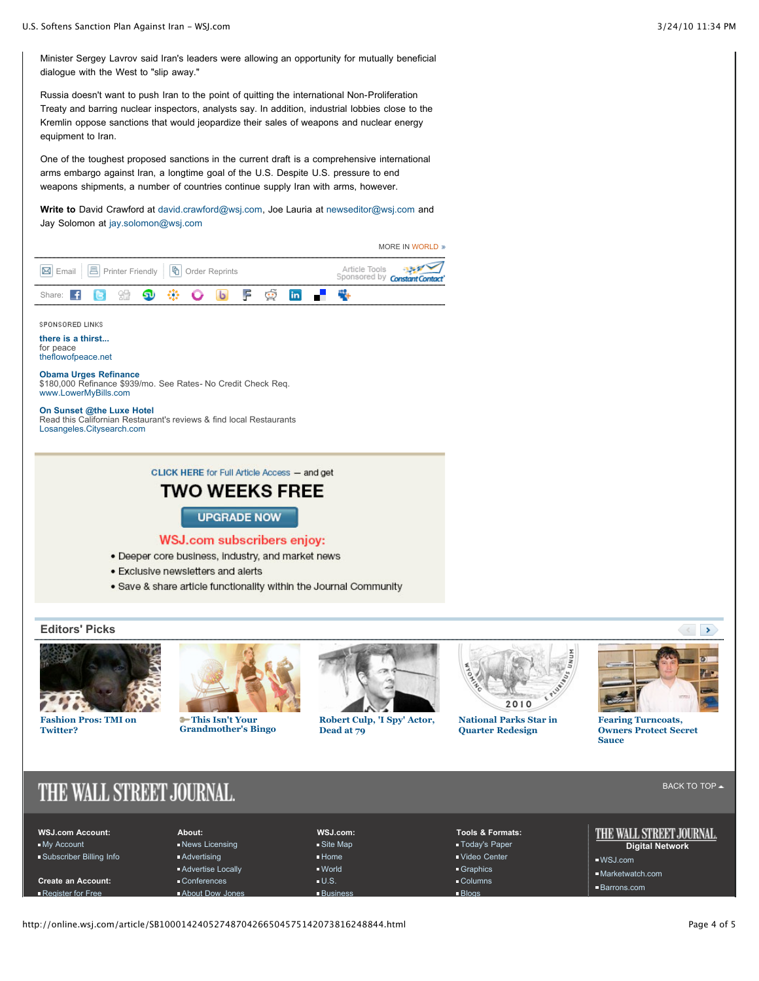Minister Sergey Lavrov said Iran's leaders were allowing an opportunity for mutually beneficial dialogue with the West to "slip away."

Russia doesn't want to push Iran to the point of quitting the international Non-Proliferation Treaty and barring nuclear inspectors, analysts say. In addition, industrial lobbies close to the Kremlin oppose sanctions that would jeopardize their sales of weapons and nuclear energy equipment to Iran.

One of the toughest proposed sanctions in the current draft is a comprehensive international arms embargo against Iran, a longtime goal of the U.S. Despite U.S. pressure to end weapons shipments, a number of countries continue supply Iran with arms, however.

**Write to** David Crawford at [david.crawford@wsj.com,](mailto:david.crawford@wsj.com) Joe Lauria at [newseditor@wsj.com](mailto:newseditor@wsj.com) and Jay Solomon at [jay.solomon@wsj.com](mailto:jay.solomon@wsj.com)

|                                                                                                                               | MORE IN WORLD »                      |
|-------------------------------------------------------------------------------------------------------------------------------|--------------------------------------|
| <b>⊠</b> Email   <b>A</b> Printer Friendly   <b>h</b> Order Reprints                                                          | Article Tools<br>Sponsored by Consta |
| F<br>$\odot$<br>in.<br>Share:                                                                                                 |                                      |
| SPONSORED LINKS                                                                                                               |                                      |
| there is a thirst<br>for peace<br>theflowofpeace.net                                                                          |                                      |
| <b>Obama Urges Refinance</b><br>\$180,000 Refinance \$939/mo. See Rates- No Credit Check Reg.<br>www.LowerMyBills.com         |                                      |
| On Sunset @the Luxe Hotel<br>Read this Californian Restaurant's reviews & find local Restaurants<br>Losangeles.Citysearch.com |                                      |
|                                                                                                                               |                                      |
| <b>CLICK HERE for Full Article Access - and get</b>                                                                           |                                      |
| <b>TWO WEEKS FREE</b>                                                                                                         |                                      |
| <b>UPGRADE NOW</b>                                                                                                            |                                      |
| <b>WSJ.com subscribers enjoy:</b>                                                                                             |                                      |
| • Deeper core business, industry, and market news                                                                             |                                      |
| • Exclusive newsletters and alerts                                                                                            |                                      |
| • Save & share article functionality within the Journal Community                                                             |                                      |
|                                                                                                                               |                                      |
| <b>Editors' Picks</b>                                                                                                         |                                      |
|                                                                                                                               |                                      |



**[Fashion Pros: TMI on](http://online.wsj.com/article/SB10001424052748704896104575140361533549880.html?mod=WSJ_hp_editorsPicks) Twitter?**



**This Isn't Your [Grandmother's Bingo](http://online.wsj.com/article/SB10001424052748703312504575141471600021674.html?mod=WSJ_hp_editorsPicks)**



**[Robert Culp, 'I Spy' Actor,](http://blogs.wsj.com/speakeasy/2010/03/24/robert-culp-i-spy-actor-dead-at-79/) Dead at 79**



**[National Parks Star in](http://online.wsj.com/article/SB10001424052748703312504575142001398537686.html?mod=WSJ_hp_editorsPicks) Quarter Redesign**

**Fearing Turncoats, [Owners Protect Secret](http://online.wsj.com/article/SB10001424052748703312504575142130695713508.html?mod=WSJ_hp_editorsPicks) Sauce**

# THE WALL STREET JOURNAL.

**WSJ.com Account:** [My Account](http://online.wsj.com/acct/setup_account?mod=WSJ_footer) [Subscriber Billing Info](http://online.wsj.com/acct/personal?mod=WSJ_footer)

**Create an Account:** [Register for Free](http://commerce.wsj.com/entitlements/release_freereg_rel3/login.shtml?roles=FREEREG-BASE&mod=WSJ_footer)

**About:** [News Licensing](http://public.wsj.com/partner/?mod=WSJ_footer) [Advertising](http://www.wsjdigital.com/?mod=WSJ_footer) [Advertise Locally](http://www.wsjlocal.com/?mod=WSJ_footer) [Conferences](http://online.wsj.com/conferences?mod=WSJ_footer) **About Dow Jone** 

**WSJ.com:** [Site Map](http://online.wsj.com/public/page/sitemap.html?page=Site+Map&mod=WSJ_footer) [Home](http://online.wsj.com/) [World](http://online.wsj.com/public/page/news-global-world.html?mod=WSJ_footer) [U.S.](http://online.wsj.com/public/page/news-world-business.html?mod=WSJ_footer) **[Business](http://online.wsj.com/public/page/news-business-us.html?mod=WSJ_footer)** 

**Tools & Formats:** [Today's Paper](http://online.wsj.com/public/page/us_in_todays_paper.html?mod=WSJ_footer) [Video Center](http://online.wsj.com/video) [Graphics](http://online.wsj.com/public/page/news-interactive-features-trends.html?mod=WSJ_footer) [Columns](http://online.wsj.com/page/columnists.html?mod=WSJ_footer) [Blogs](http://blogs.wsj.com/?mod=WSJ_footer)

THE WALL STREET JOURNAL.

**Digital Network** [WSJ.com](http://online.wsj.com/)

- [Marketwatch.com](http://www.marketwatch.com/?siteid=wsj&dist=freedjsiteslink&mod=WSJ_footer)
- [Barrons.com](http://online.barrons.com/public/main?mod=WSJ_footer)

http://online.wsj.com/article/SB10001424052748704266504575142073816248844.html Page 4 of 5

[BACK TO TOP](http://online.wsj.com/article/SB10001424052748704266504575142073816248844.html#top)  $\overline{\phantom{a}}$ 

 $\rightarrow$